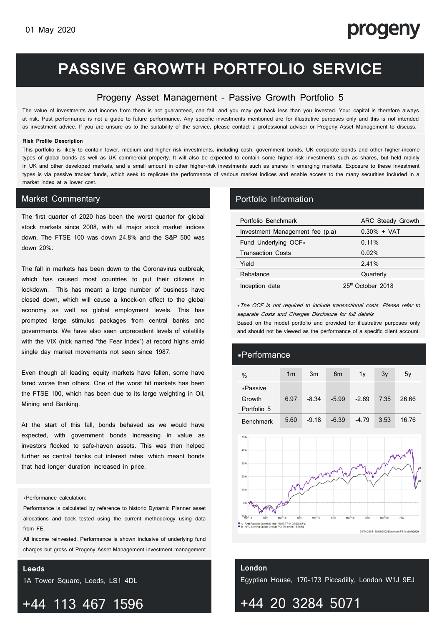# progeny

# **PASSIVE GROWTH PORTFOLIO SERVICE**

## Progeny Asset Management – Passive Growth Portfolio 5

The value of investments and income from them is not guaranteed, can fall, and you may get back less than you invested. Your capital is therefore always at risk. Past performance is not a guide to future performance. Any specific investments mentioned are for illustrative purposes only and this is not intended as investment advice. If you are unsure as to the suitability of the service, please contact a professional adviser or Progeny Asset Management to discuss.

### **Risk Profile Description**

This portfolio is likely to contain lower, medium and higher risk investments, including cash, government bonds, UK corporate bonds and other higher-income types of global bonds as well as UK commercial property. It will also be expected to contain some higher-risk investments such as shares, but held mainly in UK and other developed markets, and a small amount in other higher-risk investments such as shares in emerging markets. Exposure to these investment types is via passive tracker funds, which seek to replicate the performance of various market indices and enable access to the many securities included in a market index at a lower cost.

## Market Commentary **Portfolio Information**

The first quarter of 2020 has been the worst quarter for global stock markets since 2008, with all major stock market indices down. The FTSE 100 was down 24.8% and the S&P 500 was down 20%.

The fall in markets has been down to the Coronavirus outbreak, which has caused most countries to put their citizens in lockdown. This has meant a large number of business have closed down, which will cause a knock-on effect to the global economy as well as global employment levels. This has prompted large stimulus packages from central banks and governments. We have also seen unprecedent levels of volatility with the VIX (nick named "the Fear Index") at record highs amid single day market movements not seen since 1987.

Even though all leading equity markets have fallen, some have fared worse than others. One of the worst hit markets has been the FTSE 100, which has been due to its large weighting in Oil, Mining and Banking.

At the start of this fall, bonds behaved as we would have expected, with government bonds increasing in value as investors flocked to safe-haven assets. This was then helped further as central banks cut interest rates, which meant bonds that had longer duration increased in price.

### \*Performance calculation:

Performance is calculated by reference to historic Dynamic Planner asset allocations and back tested using the current methodology using data from FE.

All income reinvested. Performance is shown inclusive of underlying fund charges but gross of Progeny Asset Management investment management

fees. Deduction of this charge will have the result of reducing the

### **Leeds**

1A Tower Square, Leeds, LS1 4DL

## +44 113 467 1596

| Portfolio Benchmark             | ARC Steady Growth             |  |  |  |
|---------------------------------|-------------------------------|--|--|--|
| Investment Management fee (p.a) | $0.30\% + VAT$                |  |  |  |
| Fund Underlying OCF*            | 0.11%                         |  |  |  |
| <b>Transaction Costs</b>        | 0.02%                         |  |  |  |
| Yield                           | 2.41%                         |  |  |  |
| Rebalance                       | Quarterly                     |  |  |  |
| Inception date                  | 25 <sup>th</sup> October 2018 |  |  |  |

\*The OCF is not required to include transactional costs. Please refer to separate Costs and Charges Disclosure for full details

and should not be viewed as the performance of a specific client account. Based on the model portfolio and provided for illustrative purposes only

0.3% + VAT

## \*Performance

| %                | 1 <sub>m</sub> | 3m      | 6 <sub>m</sub> | 1v      | 3v   | 5y    |
|------------------|----------------|---------|----------------|---------|------|-------|
| *Passive         |                |         |                |         |      |       |
| Growth           | 6.97           | $-8.34$ | $-5.99$        | $-2.69$ | 7.35 | 26.66 |
| Portfolio 5      |                |         |                |         |      |       |
| <b>Benchmark</b> | 5.60           | $-9.18$ | $-6.39$        | $-4.79$ | 3.53 | 16.76 |



## **London** Egyptian House, 170-173 Piccadilly, London W1J 9EJ

+44 20 3284 5071